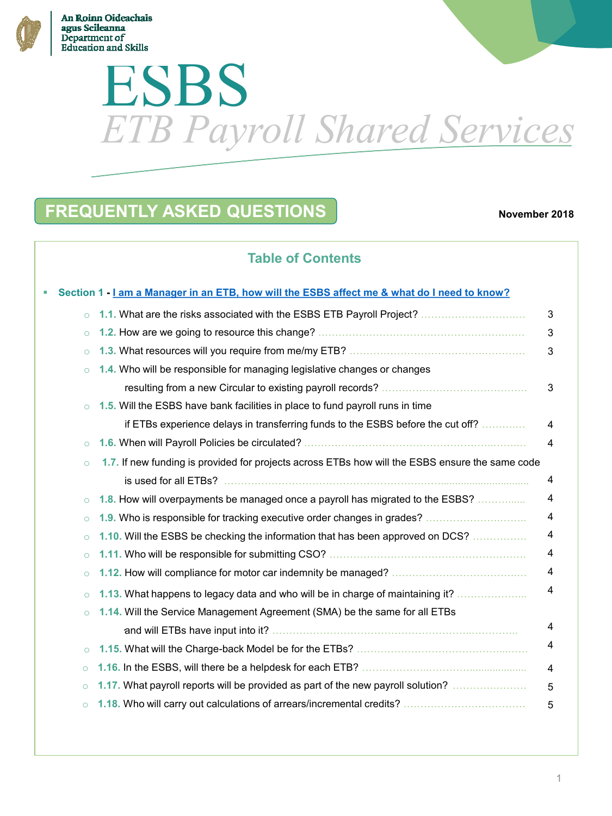

# **Education and Skills** ESBS *ETB Payroll Shared Services*

# **FREQUENTLY ASKED QUESTIONS**

#### **November 2018**

# **Table of Contents**

|         | Section 1 - I am a Manager in an ETB, how will the ESBS affect me & what do I need to know?     |                |
|---------|-------------------------------------------------------------------------------------------------|----------------|
| $\circ$ | 1.1. What are the risks associated with the ESBS ETB Payroll Project?                           | 3              |
| $\circ$ |                                                                                                 | 3              |
| $\circ$ |                                                                                                 | 3              |
| $\circ$ | 1.4. Who will be responsible for managing legislative changes or changes                        |                |
|         |                                                                                                 | 3              |
| $\circ$ | 1.5. Will the ESBS have bank facilities in place to fund payroll runs in time                   |                |
|         | if ETBs experience delays in transferring funds to the ESBS before the cut off?                 | 4              |
| $\circ$ |                                                                                                 | 4              |
| $\circ$ | 1.7. If new funding is provided for projects across ETBs how will the ESBS ensure the same code |                |
|         |                                                                                                 | 4              |
| $\circ$ | 1.8. How will overpayments be managed once a payroll has migrated to the ESBS?                  | 4              |
| $\circ$ | 1.9. Who is responsible for tracking executive order changes in grades?                         | 4              |
| $\circ$ | 1.10. Will the ESBS be checking the information that has been approved on DCS?                  | $\overline{4}$ |
| $\circ$ |                                                                                                 | 4              |
| $\circ$ |                                                                                                 | 4              |
| $\circ$ | 1.13. What happens to legacy data and who will be in charge of maintaining it?                  | $\overline{4}$ |
| $\circ$ | 1.14. Will the Service Management Agreement (SMA) be the same for all ETBs                      |                |
|         |                                                                                                 | $\overline{4}$ |
| $\circ$ |                                                                                                 | 4              |
| $\circ$ |                                                                                                 | $\overline{A}$ |
| $\circ$ | 1.17. What payroll reports will be provided as part of the new payroll solution?                | 5              |
| $\circ$ |                                                                                                 | 5              |
|         |                                                                                                 |                |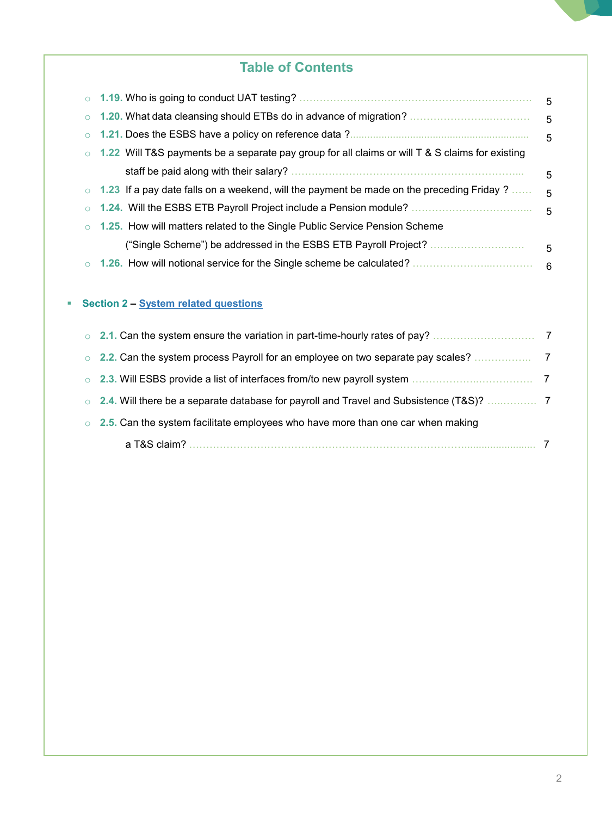# **Table of Contents**

|                                                                                                         | - 5 |
|---------------------------------------------------------------------------------------------------------|-----|
|                                                                                                         | - 5 |
|                                                                                                         | - 5 |
| $\circ$ 1.22 Will T&S payments be a separate pay group for all claims or will T & S claims for existing |     |
|                                                                                                         | 5   |
| $\circ$ 1.23 If a pay date falls on a weekend, will the payment be made on the preceding Friday ?       | - 5 |
|                                                                                                         | - 5 |
| $\circ$ 1.25. How will matters related to the Single Public Service Pension Scheme                      |     |
| ("Single Scheme") be addressed in the ESBS ETB Payroll Project?                                         | 5   |
|                                                                                                         | 6   |
|                                                                                                         |     |

## **Section 2 – System related questions**

| $\circ$ |                                                                                 |  |
|---------|---------------------------------------------------------------------------------|--|
| $\circ$ | 2.5. Can the system facilitate employees who have more than one car when making |  |
|         |                                                                                 |  |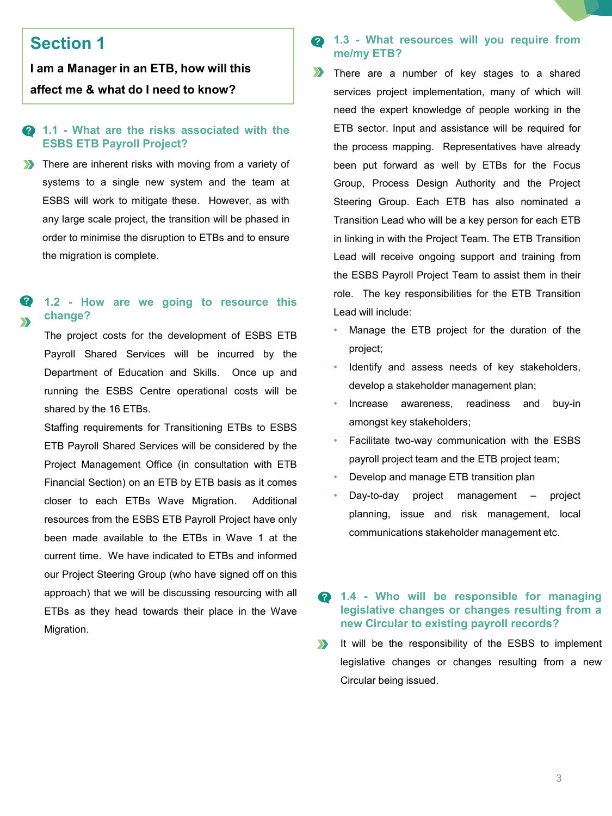# <span id="page-2-0"></span>**Section 1**

**I am a Manager in an ETB, how will this affect me & what do I need to know?**

#### **Q 1.1 - What are the risks associated with the ESBS ETB Payroll Project?**

**There are inherent risks with moving from a variety of** systems to a single new system and the team at ESBS will work to mitigate these. However, as with any large scale project, the transition will be phased in order to minimise the disruption to ETBs and to ensure the migration is complete.

#### **1.2 - How are we going to resource this change?**

The project costs for the development of ESBS ETB Payroll Shared Services will be incurred by the Department of Education and Skills. Once up and running the ESBS Centre operational costs will be shared by the 16 ETBs.

Staffing requirements for Transitioning ETBs to ESBS ETB Payroll Shared Services will be considered by the Project Management Office (in consultation with ETB Financial Section) on an ETB by ETB basis as it comes closer to each ETBs Wave Migration. Additional resources from the ESBS ETB Payroll Project have only been made available to the ETBs in Wave 1 at the current time. We have indicated to ETBs and informed our Project Steering Group (who have signed off on this approach) that we will be discussing resourcing with all ETBs as they head towards their place in the Wave Migration.

#### **1.3 - What resources will you require from** 2 **me/my ETB?**

- $\sum$ There are a number of key stages to a shared services project implementation, many of which will need the expert knowledge of people working in the ETB sector. Input and assistance will be required for the process mapping. Representatives have already been put forward as well by ETBs for the Focus Group, Process Design Authority and the Project Steering Group. Each ETB has also nominated a Transition Lead who will be a key person for each ETB in linking in with the Project Team. The ETB Transition Lead will receive ongoing support and training from the ESBS Payroll Project Team to assist them in their role. The key responsibilities for the ETB Transition Lead will include:
	- Manage the ETB project for the duration of the project;
	- Identify and assess needs of key stakeholders, develop a stakeholder management plan;
	- Increase awareness, readiness and buy-in amongst key stakeholders;
	- Facilitate two-way communication with the ESBS payroll project team and the ETB project team;
	- Develop and manage ETB transition plan
	- Day-to-day project management project planning, issue and risk management, local communications stakeholder management etc.

#### $\bullet$ **1.4 - Who will be responsible for managing legislative changes or changes resulting from a new Circular to existing payroll records?**

 $\sum$ It will be the responsibility of the ESBS to implement legislative changes or changes resulting from a new Circular being issued.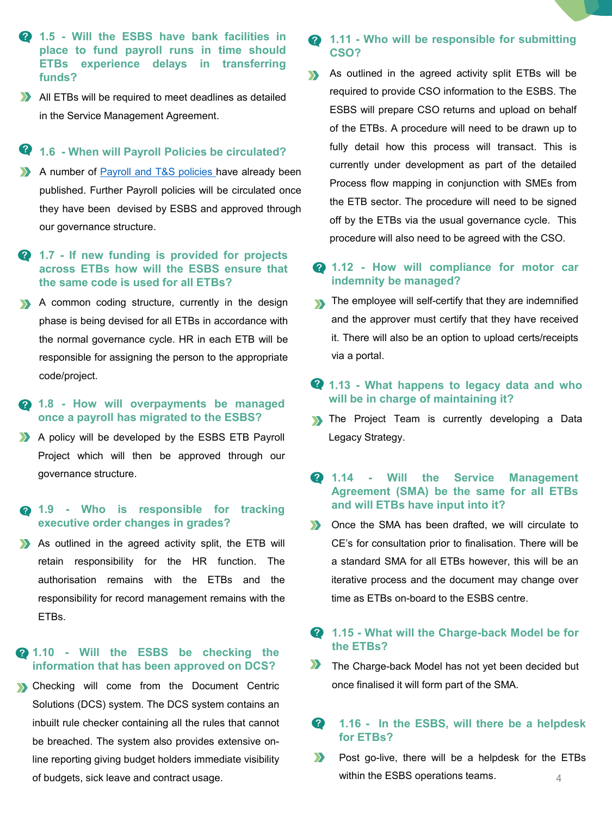- **1.5 - Will the ESBS have bank facilities in place to fund payroll runs in time should ETBs experience delays in transferring funds?**
- All ETBs will be required to meet deadlines as detailed in the Service Management Agreement.

#### **1.6 - When will Payroll Policies be circulated?**

- A number of Payroll and T&S [policies](https://esbsgovie.sharepoint.com/sites/etbpayrollproject/Shared Documents/Forms/AllItems.aspx?id=/sites/etbpayrollproject/Shared Documents/General/30. Operations/ESBS ETB Payroll and T %26 S Policies  Oct 2018.pdf&parent=/sites/etbpayrollproject/Shared Documents/General/30. Operations) have already been published. Further Payroll policies will be circulated once they have been devised by ESBS and approved through our governance structure.
- **1.7 - If new funding is provided for projects across ETBs how will the ESBS ensure that the same code is used for all ETBs?**
- A common coding structure, currently in the design phase is being devised for all ETBs in accordance with the normal governance cycle. HR in each ETB will be responsible for assigning the person to the appropriate code/project.
- **1.8 - How will overpayments be managed once a payroll has migrated to the ESBS?**
- A policy will be developed by the ESBS ETB Payroll Project which will then be approved through our governance structure.

#### **1.9 - Who is responsible for tracking executive order changes in grades?**

As outlined in the agreed activity split, the ETB will retain responsibility for the HR function. The authorisation remains with the ETBs and the responsibility for record management remains with the ETBs.

#### **1.10 - Will the ESBS be checking the information that has been approved on DCS?**

**S** Checking will come from the Document Centric Solutions (DCS) system. The DCS system contains an inbuilt rule checker containing all the rules that cannot be breached. The system also provides extensive online reporting giving budget holders immediate visibility of budgets, sick leave and contract usage.

#### **1.11 - Who will be responsible for submitting CSO?**

- As outlined in the agreed activity split ETBs will be  $\mathbf{v}$ required to provide CSO information to the ESBS. The ESBS will prepare CSO returns and upload on behalf of the ETBs. A procedure will need to be drawn up to fully detail how this process will transact. This is currently under development as part of the detailed Process flow mapping in conjunction with SMEs from the ETB sector. The procedure will need to be signed off by the ETBs via the usual governance cycle. This procedure will also need to be agreed with the CSO.
- **1.12 - How will compliance for motor car indemnity be managed?**
- The employee will self-certify that they are indemnified and the approver must certify that they have received it. There will also be an option to upload certs/receipts via a portal.

## **1.13 - What happens to legacy data and who will be in charge of maintaining it?**

- **Solution The Project Team is currently developing a Data** Legacy Strategy.
- **1.14 - Will the Service Management Agreement (SMA) be the same for all ETBs and will ETBs have input into it?**
- **Solution** Once the SMA has been drafted, we will circulate to CE's for consultation prior to finalisation. There will be a standard SMA for all ETBs however, this will be an iterative process and the document may change over time as ETBs on-board to the ESBS centre.

#### **1.15 - What will the Charge-back Model be for the ETBs?**

**The Charge-back Model has not yet been decided but** once finalised it will form part of the SMA.

#### ? **1.16 - In the ESBS, will there be a helpdesk for ETBs?**

Post go-live, there will be a helpdesk for the ETBs  $\sum$ within the ESBS operations teams.4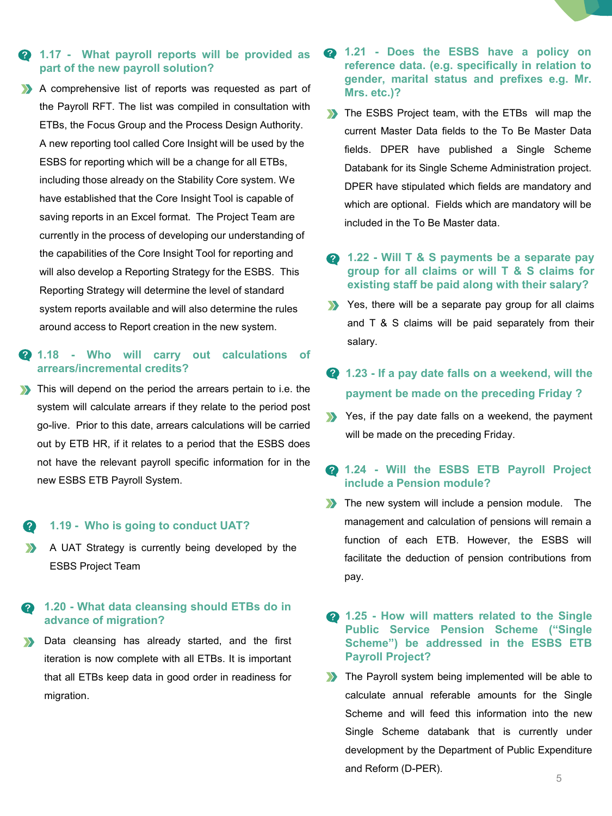#### **1.17 - What payroll reports will be provided as part of the new payroll solution?**

A comprehensive list of reports was requested as part of the Payroll RFT. The list was compiled in consultation with ETBs, the Focus Group and the Process Design Authority. A new reporting tool called Core Insight will be used by the ESBS for reporting which will be a change for all ETBs, including those already on the Stability Core system. We have established that the Core Insight Tool is capable of saving reports in an Excel format. The Project Team are currently in the process of developing our understanding of the capabilities of the Core Insight Tool for reporting and will also develop a Reporting Strategy for the ESBS. This Reporting Strategy will determine the level of standard system reports available and will also determine the rules around access to Report creation in the new system.

#### **1.18 - Who will carry out calculations of arrears/incremental credits?**

This will depend on the period the arrears pertain to i.e. the system will calculate arrears if they relate to the period post go-live. Prior to this date, arrears calculations will be carried out by ETB HR, if it relates to a period that the ESBS does not have the relevant payroll specific information for in the new ESBS ETB Payroll System.

#### **1.19 - Who is going to conduct UAT?**  $\mathbf{P}$

 $\sum$ A UAT Strategy is currently being developed by the ESBS Project Team

#### **1.20 - What data cleansing should ETBs do in** Ø **advance of migration?**

Data cleansing has already started, and the first  $\sum$ iteration is now complete with all ETBs. It is important that all ETBs keep data in good order in readiness for migration.

- **1.21 - Does the ESBS have a policy on reference data. (e.g. specifically in relation to gender, marital status and prefixes e.g. Mr. Mrs. etc.)?**
- The ESBS Project team, with the ETBs will map the current Master Data fields to the To Be Master Data fields. DPER have published a Single Scheme Databank for its Single Scheme Administration project. DPER have stipulated which fields are mandatory and which are optional. Fields which are mandatory will be included in the To Be Master data.
- **1.22 - Will T & S payments be a separate pay group for all claims or will T & S claims for existing staff be paid along with their salary?**
- Yes, there will be a separate pay group for all claims and T & S claims will be paid separately from their salary.
- **1.23 - If a pay date falls on a weekend, will the payment be made on the preceding Friday ?**
- Yes, if the pay date falls on a weekend, the payment will be made on the preceding Friday.

## **1.24 - Will the ESBS ETB Payroll Project include a Pension module?**

**The new system will include a pension module.** The management and calculation of pensions will remain a function of each ETB. However, the ESBS will facilitate the deduction of pension contributions from pay.

#### **1.25 - How will matters related to the Single Public Service Pension Scheme ("Single Scheme") be addressed in the ESBS ETB Payroll Project?**

**The Payroll system being implemented will be able to** calculate annual referable amounts for the Single Scheme and will feed this information into the new Single Scheme databank that is currently under development by the Department of Public Expenditure and Reform (D-PER).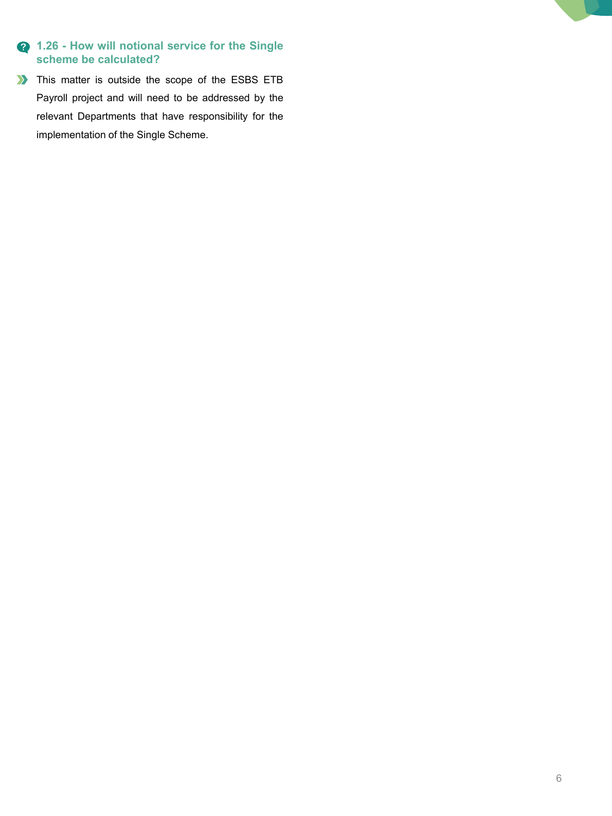## **1.26 - How will notional service for the Single scheme be calculated?**

This matter is outside the scope of the ESBS ETB Payroll project and will need to be addressed by the relevant Departments that have responsibility for the implementation of the Single Scheme.